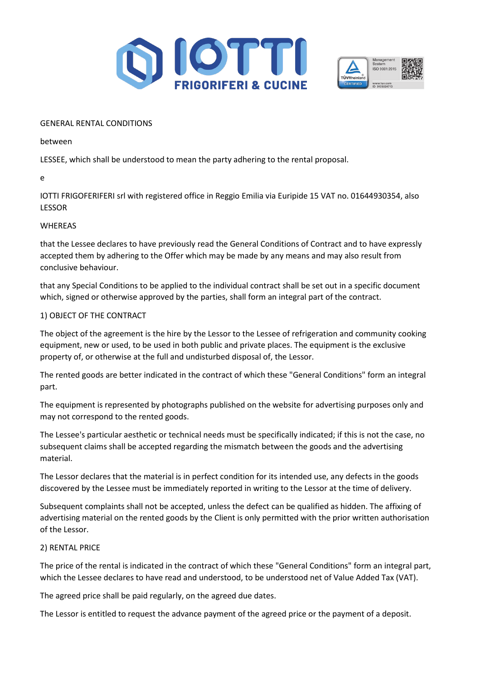



#### GENERAL RENTAL CONDITIONS

between

LESSEE, which shall be understood to mean the party adhering to the rental proposal.

e

IOTTI FRIGOFERIFERI srl with registered office in Reggio Emilia via Euripide 15 VAT no. 01644930354, also LESSOR

### WHEREAS

that the Lessee declares to have previously read the General Conditions of Contract and to have expressly accepted them by adhering to the Offer which may be made by any means and may also result from conclusive behaviour.

that any Special Conditions to be applied to the individual contract shall be set out in a specific document which, signed or otherwise approved by the parties, shall form an integral part of the contract.

## 1) OBJECT OF THE CONTRACT

The object of the agreement is the hire by the Lessor to the Lessee of refrigeration and community cooking equipment, new or used, to be used in both public and private places. The equipment is the exclusive property of, or otherwise at the full and undisturbed disposal of, the Lessor.

The rented goods are better indicated in the contract of which these "General Conditions" form an integral part.

The equipment is represented by photographs published on the website for advertising purposes only and may not correspond to the rented goods.

The Lessee's particular aesthetic or technical needs must be specifically indicated; if this is not the case, no subsequent claims shall be accepted regarding the mismatch between the goods and the advertising material.

The Lessor declares that the material is in perfect condition for its intended use, any defects in the goods discovered by the Lessee must be immediately reported in writing to the Lessor at the time of delivery.

Subsequent complaints shall not be accepted, unless the defect can be qualified as hidden. The affixing of advertising material on the rented goods by the Client is only permitted with the prior written authorisation of the Lessor.

### 2) RENTAL PRICE

The price of the rental is indicated in the contract of which these "General Conditions" form an integral part, which the Lessee declares to have read and understood, to be understood net of Value Added Tax (VAT).

The agreed price shall be paid regularly, on the agreed due dates.

The Lessor is entitled to request the advance payment of the agreed price or the payment of a deposit.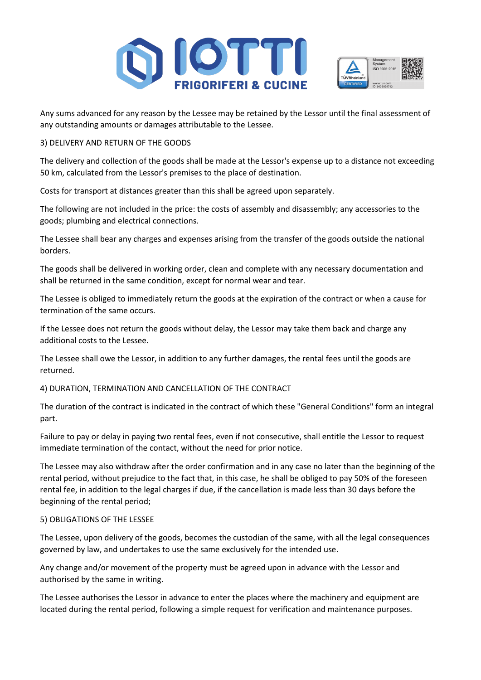



Any sums advanced for any reason by the Lessee may be retained by the Lessor until the final assessment of any outstanding amounts or damages attributable to the Lessee.

## 3) DELIVERY AND RETURN OF THE GOODS

The delivery and collection of the goods shall be made at the Lessor's expense up to a distance not exceeding 50 km, calculated from the Lessor's premises to the place of destination.

Costs for transport at distances greater than this shall be agreed upon separately.

The following are not included in the price: the costs of assembly and disassembly; any accessories to the goods; plumbing and electrical connections.

The Lessee shall bear any charges and expenses arising from the transfer of the goods outside the national borders.

The goods shall be delivered in working order, clean and complete with any necessary documentation and shall be returned in the same condition, except for normal wear and tear.

The Lessee is obliged to immediately return the goods at the expiration of the contract or when a cause for termination of the same occurs.

If the Lessee does not return the goods without delay, the Lessor may take them back and charge any additional costs to the Lessee.

The Lessee shall owe the Lessor, in addition to any further damages, the rental fees until the goods are returned.

### 4) DURATION, TERMINATION AND CANCELLATION OF THE CONTRACT

The duration of the contract is indicated in the contract of which these "General Conditions" form an integral part.

Failure to pay or delay in paying two rental fees, even if not consecutive, shall entitle the Lessor to request immediate termination of the contact, without the need for prior notice.

The Lessee may also withdraw after the order confirmation and in any case no later than the beginning of the rental period, without prejudice to the fact that, in this case, he shall be obliged to pay 50% of the foreseen rental fee, in addition to the legal charges if due, if the cancellation is made less than 30 days before the beginning of the rental period;

### 5) OBLIGATIONS OF THE LESSEE

The Lessee, upon delivery of the goods, becomes the custodian of the same, with all the legal consequences governed by law, and undertakes to use the same exclusively for the intended use.

Any change and/or movement of the property must be agreed upon in advance with the Lessor and authorised by the same in writing.

The Lessee authorises the Lessor in advance to enter the places where the machinery and equipment are located during the rental period, following a simple request for verification and maintenance purposes.